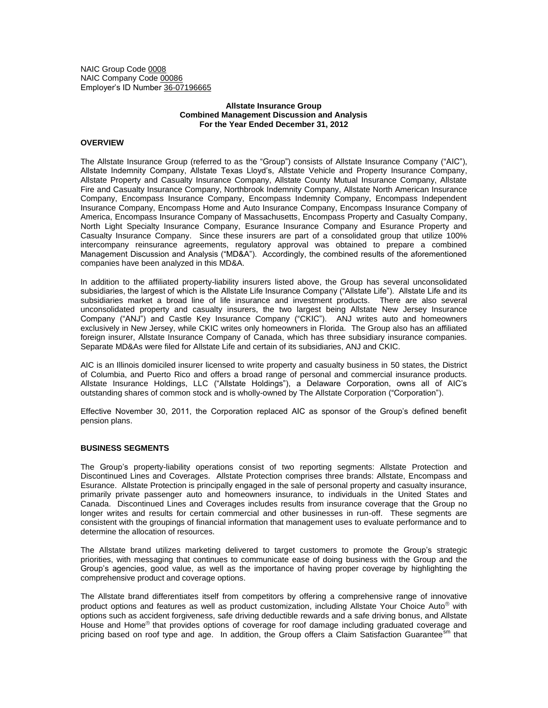NAIC Group Code 0008 NAIC Company Code 00086 Employer's ID Number 36-07196665

# **Allstate Insurance Group Combined Management Discussion and Analysis For the Year Ended December 31, 2012**

# **OVERVIEW**

The Allstate Insurance Group (referred to as the "Group") consists of Allstate Insurance Company ("AIC"), Allstate Indemnity Company, Allstate Texas Lloyd's, Allstate Vehicle and Property Insurance Company, Allstate Property and Casualty Insurance Company, Allstate County Mutual Insurance Company, Allstate Fire and Casualty Insurance Company, Northbrook Indemnity Company, Allstate North American Insurance Company, Encompass Insurance Company, Encompass Indemnity Company, Encompass Independent Insurance Company, Encompass Home and Auto Insurance Company, Encompass Insurance Company of America, Encompass Insurance Company of Massachusetts, Encompass Property and Casualty Company, North Light Specialty Insurance Company, Esurance Insurance Company and Esurance Property and Casualty Insurance Company. Since these insurers are part of a consolidated group that utilize 100% intercompany reinsurance agreements, regulatory approval was obtained to prepare a combined Management Discussion and Analysis ("MD&A"). Accordingly, the combined results of the aforementioned companies have been analyzed in this MD&A.

In addition to the affiliated property-liability insurers listed above, the Group has several unconsolidated subsidiaries, the largest of which is the Allstate Life Insurance Company ("Allstate Life"). Allstate Life and its subsidiaries market a broad line of life insurance and investment products. There are also several unconsolidated property and casualty insurers, the two largest being Allstate New Jersey Insurance Company ("ANJ") and Castle Key Insurance Company ("CKIC"). ANJ writes auto and homeowners exclusively in New Jersey, while CKIC writes only homeowners in Florida. The Group also has an affiliated foreign insurer, Allstate Insurance Company of Canada, which has three subsidiary insurance companies. Separate MD&As were filed for Allstate Life and certain of its subsidiaries, ANJ and CKIC.

AIC is an Illinois domiciled insurer licensed to write property and casualty business in 50 states, the District of Columbia, and Puerto Rico and offers a broad range of personal and commercial insurance products. Allstate Insurance Holdings, LLC ("Allstate Holdings"), a Delaware Corporation, owns all of AIC's outstanding shares of common stock and is wholly-owned by The Allstate Corporation ("Corporation").

Effective November 30, 2011, the Corporation replaced AIC as sponsor of the Group's defined benefit pension plans.

### **BUSINESS SEGMENTS**

The Group's property-liability operations consist of two reporting segments: Allstate Protection and Discontinued Lines and Coverages. Allstate Protection comprises three brands: Allstate, Encompass and Esurance. Allstate Protection is principally engaged in the sale of personal property and casualty insurance, primarily private passenger auto and homeowners insurance, to individuals in the United States and Canada. Discontinued Lines and Coverages includes results from insurance coverage that the Group no longer writes and results for certain commercial and other businesses in run-off. These segments are consistent with the groupings of financial information that management uses to evaluate performance and to determine the allocation of resources.

The Allstate brand utilizes marketing delivered to target customers to promote the Group's strategic priorities, with messaging that continues to communicate ease of doing business with the Group and the Group's agencies, good value, as well as the importance of having proper coverage by highlighting the comprehensive product and coverage options.

The Allstate brand differentiates itself from competitors by offering a comprehensive range of innovative product options and features as well as product customization, including Allstate Your Choice Auto<sup>®</sup> with options such as accident forgiveness, safe driving deductible rewards and a safe driving bonus, and Allstate House and Home® that provides options of coverage for roof damage including graduated coverage and pricing based on roof type and age. In addition, the Group offers a Claim Satisfaction Guarantee<sup>sm</sup> that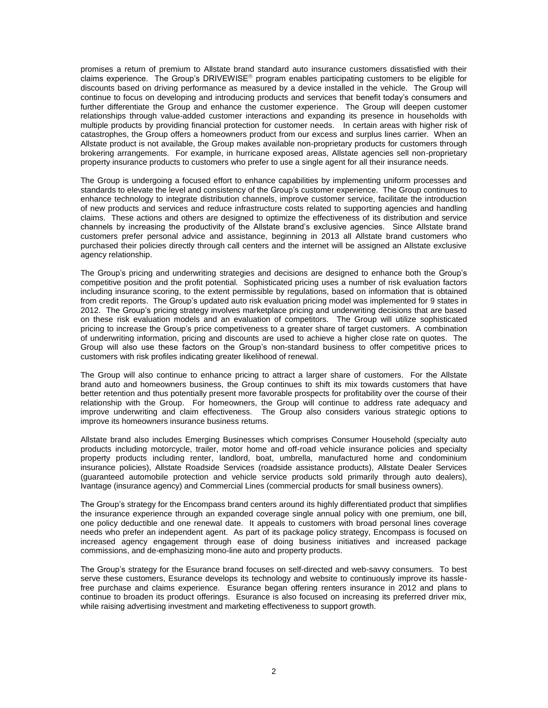promises a return of premium to Allstate brand standard auto insurance customers dissatisfied with their claims experience. The Group's DRIVEWISE<sup>®</sup> program enables participating customers to be eligible for discounts based on driving performance as measured by a device installed in the vehicle. The Group will continue to focus on developing and introducing products and services that benefit today's consumers and further differentiate the Group and enhance the customer experience. The Group will deepen customer relationships through value-added customer interactions and expanding its presence in households with multiple products by providing financial protection for customer needs. In certain areas with higher risk of catastrophes, the Group offers a homeowners product from our excess and surplus lines carrier. When an Allstate product is not available, the Group makes available non-proprietary products for customers through brokering arrangements. For example, in hurricane exposed areas, Allstate agencies sell non-proprietary property insurance products to customers who prefer to use a single agent for all their insurance needs.

The Group is undergoing a focused effort to enhance capabilities by implementing uniform processes and standards to elevate the level and consistency of the Group's customer experience. The Group continues to enhance technology to integrate distribution channels, improve customer service, facilitate the introduction of new products and services and reduce infrastructure costs related to supporting agencies and handling claims. These actions and others are designed to optimize the effectiveness of its distribution and service channels by increasing the productivity of the Allstate brand's exclusive agencies. Since Allstate brand customers prefer personal advice and assistance, beginning in 2013 all Allstate brand customers who purchased their policies directly through call centers and the internet will be assigned an Allstate exclusive agency relationship.

The Group's pricing and underwriting strategies and decisions are designed to enhance both the Group's competitive position and the profit potential. Sophisticated pricing uses a number of risk evaluation factors including insurance scoring, to the extent permissible by regulations, based on information that is obtained from credit reports. The Group's updated auto risk evaluation pricing model was implemented for 9 states in 2012. The Group's pricing strategy involves marketplace pricing and underwriting decisions that are based on these risk evaluation models and an evaluation of competitors. The Group will utilize sophisticated pricing to increase the Group's price competiveness to a greater share of target customers. A combination of underwriting information, pricing and discounts are used to achieve a higher close rate on quotes. The Group will also use these factors on the Group's non-standard business to offer competitive prices to customers with risk profiles indicating greater likelihood of renewal.

The Group will also continue to enhance pricing to attract a larger share of customers. For the Allstate brand auto and homeowners business, the Group continues to shift its mix towards customers that have better retention and thus potentially present more favorable prospects for profitability over the course of their relationship with the Group. For homeowners, the Group will continue to address rate adequacy and improve underwriting and claim effectiveness. The Group also considers various strategic options to improve its homeowners insurance business returns.

Allstate brand also includes Emerging Businesses which comprises Consumer Household (specialty auto products including motorcycle, trailer, motor home and off-road vehicle insurance policies and specialty property products including renter, landlord, boat, umbrella, manufactured home and condominium insurance policies), Allstate Roadside Services (roadside assistance products), Allstate Dealer Services (guaranteed automobile protection and vehicle service products sold primarily through auto dealers), Ivantage (insurance agency) and Commercial Lines (commercial products for small business owners).

The Group's strategy for the Encompass brand centers around its highly differentiated product that simplifies the insurance experience through an expanded coverage single annual policy with one premium, one bill, one policy deductible and one renewal date. It appeals to customers with broad personal lines coverage needs who prefer an independent agent. As part of its package policy strategy, Encompass is focused on increased agency engagement through ease of doing business initiatives and increased package commissions, and de-emphasizing mono-line auto and property products.

The Group's strategy for the Esurance brand focuses on self-directed and web-savvy consumers. To best serve these customers, Esurance develops its technology and website to continuously improve its hasslefree purchase and claims experience. Esurance began offering renters insurance in 2012 and plans to continue to broaden its product offerings. Esurance is also focused on increasing its preferred driver mix, while raising advertising investment and marketing effectiveness to support growth.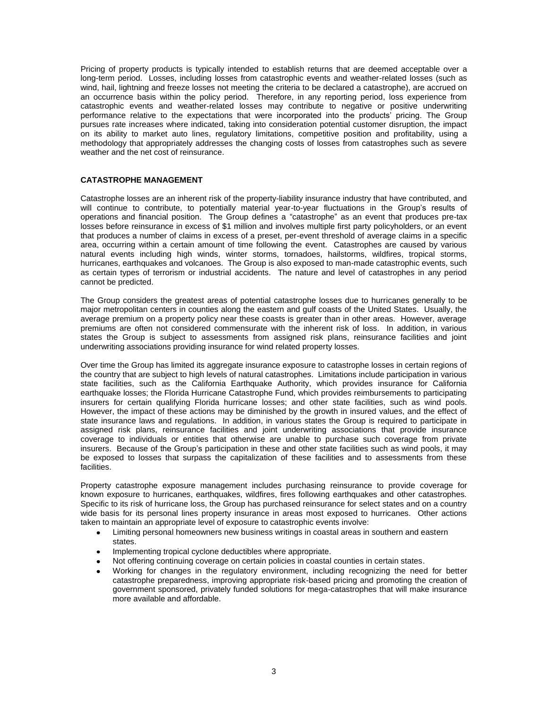Pricing of property products is typically intended to establish returns that are deemed acceptable over a long-term period. Losses, including losses from catastrophic events and weather-related losses (such as wind, hail, lightning and freeze losses not meeting the criteria to be declared a catastrophe), are accrued on an occurrence basis within the policy period. Therefore, in any reporting period, loss experience from catastrophic events and weather-related losses may contribute to negative or positive underwriting performance relative to the expectations that were incorporated into the products' pricing. The Group pursues rate increases where indicated, taking into consideration potential customer disruption, the impact on its ability to market auto lines, regulatory limitations, competitive position and profitability, using a methodology that appropriately addresses the changing costs of losses from catastrophes such as severe weather and the net cost of reinsurance.

# **CATASTROPHE MANAGEMENT**

Catastrophe losses are an inherent risk of the property-liability insurance industry that have contributed, and will continue to contribute, to potentially material year-to-year fluctuations in the Group's results of operations and financial position. The Group defines a "catastrophe" as an event that produces pre-tax losses before reinsurance in excess of \$1 million and involves multiple first party policyholders, or an event that produces a number of claims in excess of a preset, per-event threshold of average claims in a specific area, occurring within a certain amount of time following the event. Catastrophes are caused by various natural events including high winds, winter storms, tornadoes, hailstorms, wildfires, tropical storms, hurricanes, earthquakes and volcanoes. The Group is also exposed to man-made catastrophic events, such as certain types of terrorism or industrial accidents. The nature and level of catastrophes in any period cannot be predicted.

The Group considers the greatest areas of potential catastrophe losses due to hurricanes generally to be major metropolitan centers in counties along the eastern and gulf coasts of the United States. Usually, the average premium on a property policy near these coasts is greater than in other areas. However, average premiums are often not considered commensurate with the inherent risk of loss. In addition, in various states the Group is subject to assessments from assigned risk plans, reinsurance facilities and joint underwriting associations providing insurance for wind related property losses.

Over time the Group has limited its aggregate insurance exposure to catastrophe losses in certain regions of the country that are subject to high levels of natural catastrophes. Limitations include participation in various state facilities, such as the California Earthquake Authority, which provides insurance for California earthquake losses; the Florida Hurricane Catastrophe Fund, which provides reimbursements to participating insurers for certain qualifying Florida hurricane losses; and other state facilities, such as wind pools. However, the impact of these actions may be diminished by the growth in insured values, and the effect of state insurance laws and regulations. In addition, in various states the Group is required to participate in assigned risk plans, reinsurance facilities and joint underwriting associations that provide insurance coverage to individuals or entities that otherwise are unable to purchase such coverage from private insurers. Because of the Group's participation in these and other state facilities such as wind pools, it may be exposed to losses that surpass the capitalization of these facilities and to assessments from these facilities.

Property catastrophe exposure management includes purchasing reinsurance to provide coverage for known exposure to hurricanes, earthquakes, wildfires, fires following earthquakes and other catastrophes. Specific to its risk of hurricane loss, the Group has purchased reinsurance for select states and on a country wide basis for its personal lines property insurance in areas most exposed to hurricanes. Other actions taken to maintain an appropriate level of exposure to catastrophic events involve:

- Limiting personal homeowners new business writings in coastal areas in southern and eastern  $\bullet$ states.
- Implementing tropical cyclone deductibles where appropriate.
- Not offering continuing coverage on certain policies in coastal counties in certain states.
- Working for changes in the regulatory environment, including recognizing the need for better catastrophe preparedness, improving appropriate risk-based pricing and promoting the creation of government sponsored, privately funded solutions for mega-catastrophes that will make insurance more available and affordable.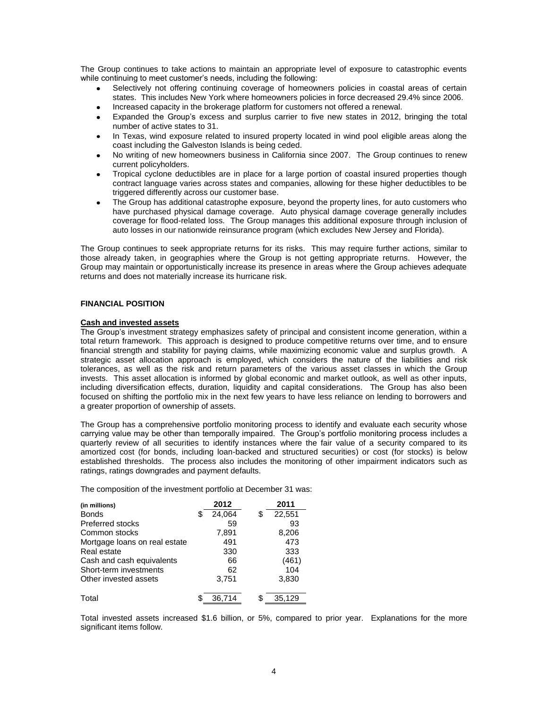The Group continues to take actions to maintain an appropriate level of exposure to catastrophic events while continuing to meet customer's needs, including the following:

- Selectively not offering continuing coverage of homeowners policies in coastal areas of certain states. This includes New York where homeowners policies in force decreased 29.4% since 2006.
- Increased capacity in the brokerage platform for customers not offered a renewal.  $\bullet$
- Expanded the Group's excess and surplus carrier to five new states in 2012, bringing the total  $\bullet$ number of active states to 31.
- In Texas, wind exposure related to insured property located in wind pool eligible areas along the coast including the Galveston Islands is being ceded.
- No writing of new homeowners business in California since 2007. The Group continues to renew current policyholders.
- Tropical cyclone deductibles are in place for a large portion of coastal insured properties though contract language varies across states and companies, allowing for these higher deductibles to be triggered differently across our customer base.
- The Group has additional catastrophe exposure, beyond the property lines, for auto customers who have purchased physical damage coverage. Auto physical damage coverage generally includes coverage for flood-related loss. The Group manages this additional exposure through inclusion of auto losses in our nationwide reinsurance program (which excludes New Jersey and Florida).

The Group continues to seek appropriate returns for its risks. This may require further actions, similar to those already taken, in geographies where the Group is not getting appropriate returns. However, the Group may maintain or opportunistically increase its presence in areas where the Group achieves adequate returns and does not materially increase its hurricane risk.

### **FINANCIAL POSITION**

### **Cash and invested assets**

The Group's investment strategy emphasizes safety of principal and consistent income generation, within a total return framework. This approach is designed to produce competitive returns over time, and to ensure financial strength and stability for paying claims, while maximizing economic value and surplus growth. A strategic asset allocation approach is employed, which considers the nature of the liabilities and risk tolerances, as well as the risk and return parameters of the various asset classes in which the Group invests. This asset allocation is informed by global economic and market outlook, as well as other inputs, including diversification effects, duration, liquidity and capital considerations. The Group has also been focused on shifting the portfolio mix in the next few years to have less reliance on lending to borrowers and a greater proportion of ownership of assets.

The Group has a comprehensive portfolio monitoring process to identify and evaluate each security whose carrying value may be other than temporally impaired. The Group's portfolio monitoring process includes a quarterly review of all securities to identify instances where the fair value of a security compared to its amortized cost (for bonds, including loan-backed and structured securities) or cost (for stocks) is below established thresholds. The process also includes the monitoring of other impairment indicators such as ratings, ratings downgrades and payment defaults.

The composition of the investment portfolio at December 31 was:

| (in millions)                 |   | 2012   | 2011         |
|-------------------------------|---|--------|--------------|
| <b>Bonds</b>                  | S | 24,064 | \$<br>22,551 |
| <b>Preferred stocks</b>       |   | 59     | 93           |
| Common stocks                 |   | 7,891  | 8,206        |
| Mortgage loans on real estate |   | 491    | 473          |
| Real estate                   |   | 330    | 333          |
| Cash and cash equivalents     |   | 66     | (461)        |
| Short-term investments        |   | 62     | 104          |
| Other invested assets         |   | 3,751  | 3,830        |
| Total                         |   | 36.714 | 35.129       |

Total invested assets increased \$1.6 billion, or 5%, compared to prior year. Explanations for the more significant items follow.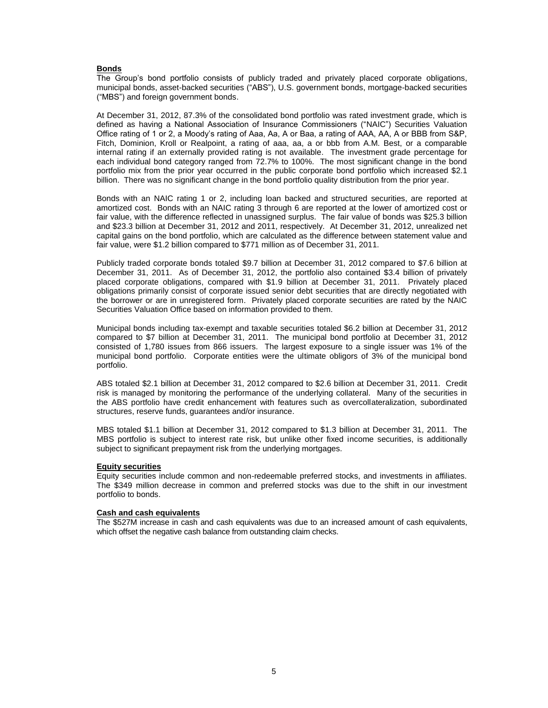# **Bonds**

The Group's bond portfolio consists of publicly traded and privately placed corporate obligations, municipal bonds, asset-backed securities ("ABS"), U.S. government bonds, mortgage-backed securities ("MBS") and foreign government bonds.

At December 31, 2012, 87.3% of the consolidated bond portfolio was rated investment grade, which is defined as having a National Association of Insurance Commissioners ("NAIC") Securities Valuation Office rating of 1 or 2, a Moody's rating of Aaa, Aa, A or Baa, a rating of AAA, AA, A or BBB from S&P, Fitch, Dominion, Kroll or Realpoint, a rating of aaa, aa, a or bbb from A.M. Best, or a comparable internal rating if an externally provided rating is not available. The investment grade percentage for each individual bond category ranged from 72.7% to 100%. The most significant change in the bond portfolio mix from the prior year occurred in the public corporate bond portfolio which increased \$2.1 billion. There was no significant change in the bond portfolio quality distribution from the prior year.

Bonds with an NAIC rating 1 or 2, including loan backed and structured securities, are reported at amortized cost. Bonds with an NAIC rating 3 through 6 are reported at the lower of amortized cost or fair value, with the difference reflected in unassigned surplus. The fair value of bonds was \$25.3 billion and \$23.3 billion at December 31, 2012 and 2011, respectively. At December 31, 2012, unrealized net capital gains on the bond portfolio, which are calculated as the difference between statement value and fair value, were \$1.2 billion compared to \$771 million as of December 31, 2011.

Publicly traded corporate bonds totaled \$9.7 billion at December 31, 2012 compared to \$7.6 billion at December 31, 2011. As of December 31, 2012, the portfolio also contained \$3.4 billion of privately placed corporate obligations, compared with \$1.9 billion at December 31, 2011. Privately placed obligations primarily consist of corporate issued senior debt securities that are directly negotiated with the borrower or are in unregistered form. Privately placed corporate securities are rated by the NAIC Securities Valuation Office based on information provided to them.

Municipal bonds including tax-exempt and taxable securities totaled \$6.2 billion at December 31, 2012 compared to \$7 billion at December 31, 2011. The municipal bond portfolio at December 31, 2012 consisted of 1,780 issues from 866 issuers. The largest exposure to a single issuer was 1% of the municipal bond portfolio. Corporate entities were the ultimate obligors of 3% of the municipal bond portfolio.

ABS totaled \$2.1 billion at December 31, 2012 compared to \$2.6 billion at December 31, 2011. Credit risk is managed by monitoring the performance of the underlying collateral. Many of the securities in the ABS portfolio have credit enhancement with features such as overcollateralization, subordinated structures, reserve funds, guarantees and/or insurance.

MBS totaled \$1.1 billion at December 31, 2012 compared to \$1.3 billion at December 31, 2011. The MBS portfolio is subject to interest rate risk, but unlike other fixed income securities, is additionally subject to significant prepayment risk from the underlying mortgages.

#### **Equity securities**

Equity securities include common and non-redeemable preferred stocks, and investments in affiliates. The \$349 million decrease in common and preferred stocks was due to the shift in our investment portfolio to bonds.

### **Cash and cash equivalents**

The \$527M increase in cash and cash equivalents was due to an increased amount of cash equivalents, which offset the negative cash balance from outstanding claim checks.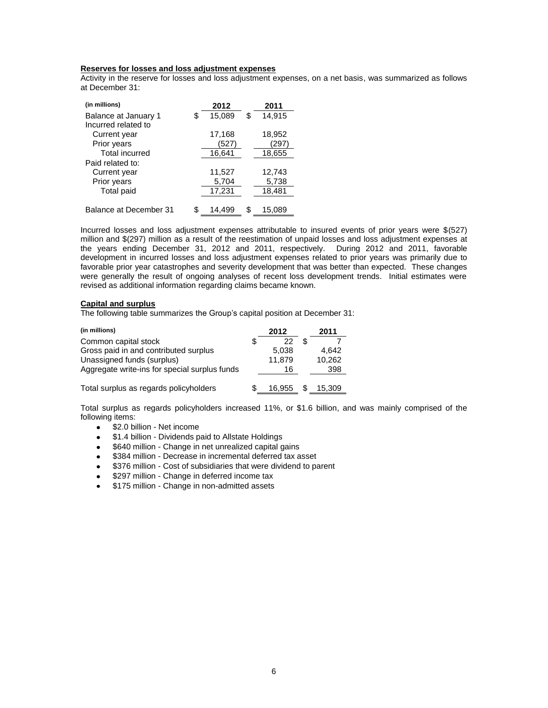# **Reserves for losses and loss adjustment expenses**

Activity in the reserve for losses and loss adjustment expenses, on a net basis, was summarized as follows at December 31:

| (in millions)          | 2012         | 2011         |
|------------------------|--------------|--------------|
| Balance at January 1   | \$<br>15,089 | \$<br>14.915 |
| Incurred related to    |              |              |
| Current year           | 17,168       | 18,952       |
| Prior years            | (527)        | (297         |
| <b>Total incurred</b>  | 16,641       | 18,655       |
| Paid related to:       |              |              |
| Current year           | 11,527       | 12,743       |
| Prior years            | 5,704        | 5,738        |
| <b>Total paid</b>      | 17,231       | 18,481       |
|                        |              |              |
| Balance at December 31 | \$<br>14.499 | \$<br>15,089 |

Incurred losses and loss adjustment expenses attributable to insured events of prior years were \$(527) million and \$(297) million as a result of the reestimation of unpaid losses and loss adjustment expenses at the years ending December 31, 2012 and 2011, respectively. During 2012 and 2011, favorable development in incurred losses and loss adjustment expenses related to prior years was primarily due to favorable prior year catastrophes and severity development that was better than expected. These changes were generally the result of ongoing analyses of recent loss development trends. Initial estimates were revised as additional information regarding claims became known.

#### **Capital and surplus**

The following table summarizes the Group's capital position at December 31:

| (in millions)                                 |   | 2012   | 2011   |
|-----------------------------------------------|---|--------|--------|
| Common capital stock                          | S | 22     |        |
| Gross paid in and contributed surplus         |   | 5.038  | 4.642  |
| Unassigned funds (surplus)                    |   | 11,879 | 10,262 |
| Aggregate write-ins for special surplus funds |   | 16     | 398    |
| Total surplus as regards policyholders        | S | 16.955 | 15.309 |

Total surplus as regards policyholders increased 11%, or \$1.6 billion, and was mainly comprised of the following items:

- \$2.0 billion Net income  $\bullet$
- \$1.4 billion Dividends paid to Allstate Holdings  $\bullet$
- \$640 million Change in net unrealized capital gains  $\bullet$
- \$384 million Decrease in incremental deferred tax asset
- \$376 million Cost of subsidiaries that were dividend to parent  $\bullet$
- \$297 million Change in deferred income tax  $\bullet$
- \$175 million Change in non-admitted assets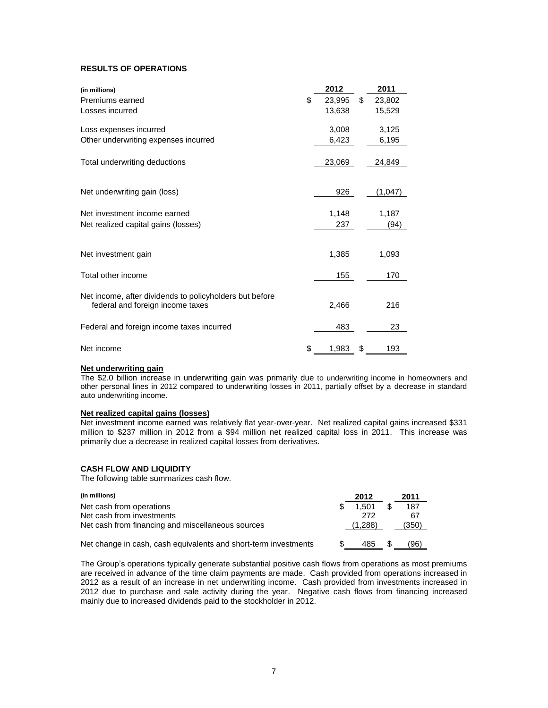# **RESULTS OF OPERATIONS**

| (in millions)                                           | 2012         | 2011         |
|---------------------------------------------------------|--------------|--------------|
| Premiums earned                                         | \$<br>23,995 | \$<br>23,802 |
| Losses incurred                                         | 13,638       | 15,529       |
| Loss expenses incurred                                  | 3,008        | 3,125        |
| Other underwriting expenses incurred                    | 6,423        | 6,195        |
| Total underwriting deductions                           | 23,069       | 24,849       |
|                                                         | 926          | (1,047)      |
| Net underwriting gain (loss)                            |              |              |
| Net investment income earned                            | 1,148        | 1,187        |
| Net realized capital gains (losses)                     | 237          | (94)         |
|                                                         |              |              |
| Net investment gain                                     | 1,385        | 1,093        |
| Total other income                                      | 155          | 170          |
| Net income, after dividends to policyholders but before |              |              |
| federal and foreign income taxes                        | 2,466        | 216          |
| Federal and foreign income taxes incurred               | 483          | 23           |
| Net income                                              | \$<br>1,983  | \$<br>193    |

# **Net underwriting gain**

The \$2.0 billion increase in underwriting gain was primarily due to underwriting income in homeowners and other personal lines in 2012 compared to underwriting losses in 2011, partially offset by a decrease in standard auto underwriting income.

# **Net realized capital gains (losses)**

Net investment income earned was relatively flat year-over-year. Net realized capital gains increased \$331 million to \$237 million in 2012 from a \$94 million net realized capital loss in 2011. This increase was primarily due a decrease in realized capital losses from derivatives.

# **CASH FLOW AND LIQUIDITY**

The following table summarizes cash flow.

| (in millions)                                                   | 2012    |     | 2011  |
|-----------------------------------------------------------------|---------|-----|-------|
| Net cash from operations                                        | 1.501   |     | 187   |
| Net cash from investments                                       | 272     |     | 67    |
| Net cash from financing and miscellaneous sources               | (1.288) |     | (350) |
| Net change in cash, cash equivalents and short-term investments | 485     | \$. | (96)  |

The Group's operations typically generate substantial positive cash flows from operations as most premiums are received in advance of the time claim payments are made. Cash provided from operations increased in 2012 as a result of an increase in net underwriting income. Cash provided from investments increased in 2012 due to purchase and sale activity during the year. Negative cash flows from financing increased mainly due to increased dividends paid to the stockholder in 2012.